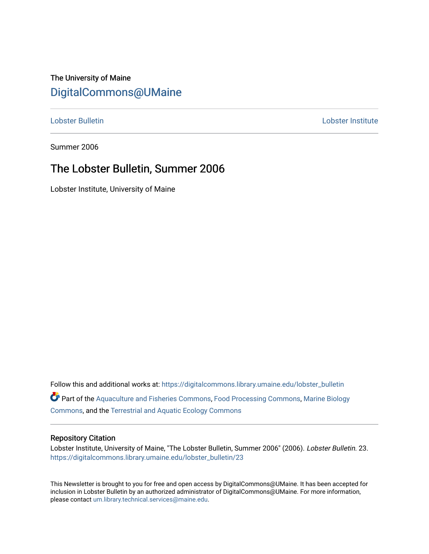# The University of Maine [DigitalCommons@UMaine](https://digitalcommons.library.umaine.edu/)

#### [Lobster Bulletin](https://digitalcommons.library.umaine.edu/lobster_bulletin) [Lobster Institute](https://digitalcommons.library.umaine.edu/lobster)

Summer 2006

## The Lobster Bulletin, Summer 2006

Lobster Institute, University of Maine

Follow this and additional works at: [https://digitalcommons.library.umaine.edu/lobster\\_bulletin](https://digitalcommons.library.umaine.edu/lobster_bulletin?utm_source=digitalcommons.library.umaine.edu%2Flobster_bulletin%2F23&utm_medium=PDF&utm_campaign=PDFCoverPages) Part of the [Aquaculture and Fisheries Commons](http://network.bepress.com/hgg/discipline/78?utm_source=digitalcommons.library.umaine.edu%2Flobster_bulletin%2F23&utm_medium=PDF&utm_campaign=PDFCoverPages), [Food Processing Commons,](http://network.bepress.com/hgg/discipline/85?utm_source=digitalcommons.library.umaine.edu%2Flobster_bulletin%2F23&utm_medium=PDF&utm_campaign=PDFCoverPages) [Marine Biology](http://network.bepress.com/hgg/discipline/1126?utm_source=digitalcommons.library.umaine.edu%2Flobster_bulletin%2F23&utm_medium=PDF&utm_campaign=PDFCoverPages) [Commons](http://network.bepress.com/hgg/discipline/1126?utm_source=digitalcommons.library.umaine.edu%2Flobster_bulletin%2F23&utm_medium=PDF&utm_campaign=PDFCoverPages), and the [Terrestrial and Aquatic Ecology Commons](http://network.bepress.com/hgg/discipline/20?utm_source=digitalcommons.library.umaine.edu%2Flobster_bulletin%2F23&utm_medium=PDF&utm_campaign=PDFCoverPages) 

#### Repository Citation

Lobster Institute, University of Maine, "The Lobster Bulletin, Summer 2006" (2006). Lobster Bulletin. 23. [https://digitalcommons.library.umaine.edu/lobster\\_bulletin/23](https://digitalcommons.library.umaine.edu/lobster_bulletin/23?utm_source=digitalcommons.library.umaine.edu%2Flobster_bulletin%2F23&utm_medium=PDF&utm_campaign=PDFCoverPages) 

This Newsletter is brought to you for free and open access by DigitalCommons@UMaine. It has been accepted for inclusion in Lobster Bulletin by an authorized administrator of DigitalCommons@UMaine. For more information, please contact [um.library.technical.services@maine.edu.](mailto:um.library.technical.services@maine.edu)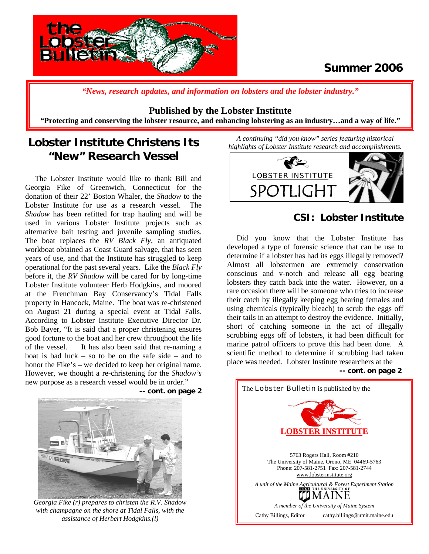

# **Summer 2006**

*"News, research updates, and information on lobsters and the lobster industry."*

#### **Published by the Lobster Institute**

**"Protecting and conserving the lobster resource, and enhancing lobstering as an industry…and a way of life."** 

# **Lobster Institute Christens Its "New" Research Vessel**

 The Lobster Institute would like to thank Bill and Georgia Fike of Greenwich, Connecticut for the donation of their 22' Boston Whaler, the *Shadow* to the Lobster Institute for use as a research vessel. The *Shadow* has been refitted for trap hauling and will be used in various Lobster Institute projects such as alternative bait testing and juvenile sampling studies. The boat replaces the *RV Black Fly*, an antiquated workboat obtained as Coast Guard salvage, that has seen years of use, and that the Institute has struggled to keep operational for the past several years. Like the *Black Fly*  before it, the *RV Shadow* will be cared for by long-time Lobster Institute volunteer Herb Hodgkins, and moored at the Frenchman Bay Conservancy's Tidal Falls property in Hancock, Maine. The boat was re-christened on August 21 during a special event at Tidal Falls. According to Lobster Institute Executive Director Dr. Bob Bayer, "It is said that a proper christening ensures good fortune to the boat and her crew throughout the life of the vessel. It has also been said that re-naming a boat is bad luck – so to be on the safe side – and to honor the Fike's – we decided to keep her original name. However, we thought a re-christening for the *Shadow's* new purpose as a research vessel would be in order."



**-- cont. on page 2**

*Georgia Fike (r) prepares to christen the R.V. Shadow with champagne on the shore at Tidal Falls, with the assistance of Herbert Hodgkins.(l)* 

*A continuing "did you know" series featuring historical highlights of Lobster Institute research and accomplishments.* 



## **CSI: Lobster Institute**

 Did you know that the Lobster Institute has developed a type of forensic science that can be use to determine if a lobster has had its eggs illegally removed? Almost all lobstermen are extremely conservation conscious and v-notch and release all egg bearing lobsters they catch back into the water. However, on a rare occasion there will be someone who tries to increase their catch by illegally keeping egg bearing females and using chemicals (typically bleach) to scrub the eggs off their tails in an attempt to destroy the evidence. Initially, short of catching someone in the act of illegally scrubbing eggs off of lobsters, it had been difficult for marine patrol officers to prove this had been done. A scientific method to determine if scrubbing had taken place was needed. Lobster Institute researchers at the **-- cont. on page 2**

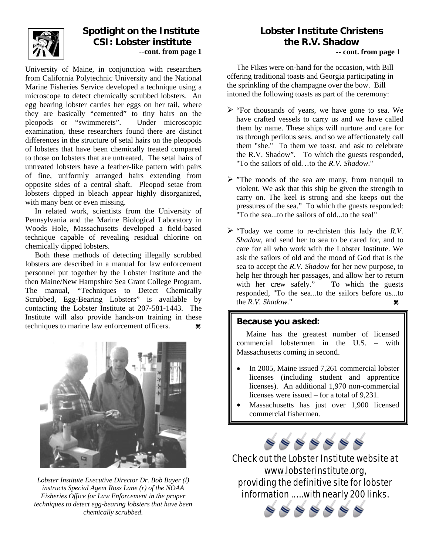

## **Spotlight on the Institute CSI: Lobster institute --cont. from page 1**

University of Maine, in conjunction with researchers from California Polytechnic University and the National Marine Fisheries Service developed a technique using a microscope to detect chemically scrubbed lobsters. An egg bearing lobster carries her eggs on her tail, where they are basically "cemented" to tiny hairs on the pleopods or "swimmerets". Under microscopic pleopods or "swimmerets". examination, these researchers found there are distinct differences in the structure of setal hairs on the pleopods of lobsters that have been chemically treated compared to those on lobsters that are untreated. The setal hairs of untreated lobsters have a feather-like pattern with pairs of fine, uniformly arranged hairs extending from opposite sides of a central shaft. Pleopod setae from lobsters dipped in bleach appear highly disorganized, with many bent or even missing.

 In related work, scientists from the University of Pennsylvania and the Marine Biological Laboratory in Woods Hole, Massachusetts developed a field-based technique capable of revealing residual chlorine on chemically dipped lobsters.

 Both these methods of detecting illegally scrubbed lobsters are described in a manual for law enforcement personnel put together by the Lobster Institute and the then Maine/New Hampshire Sea Grant College Program. The manual, "Techniques to Detect Chemically Scrubbed, Egg-Bearing Lobsters" is available by contacting the Lobster Institute at 207-581-1443. The Institute will also provide hands-on training in these techniques to marine law enforcement officers. **a** 



*Lobster Institute Executive Director Dr. Bob Bayer (l) instructs Special Agent Ross Lane (r) of the NOAA Fisheries Office for Law Enforcement in the proper techniques to detect egg-bearing lobsters that have been chemically scrubbed.* 

# **Lobster Institute Christens the R.V. Shadow**

#### **-- cont. from page 1**

 The Fikes were on-hand for the occasion, with Bill offering traditional toasts and Georgia participating in the sprinkling of the champagne over the bow. Bill intoned the following toasts as part of the ceremony:

- $\triangleright$  "For thousands of years, we have gone to sea. We have crafted vessels to carry us and we have called them by name. These ships will nurture and care for us through perilous seas, and so we affectionately call them "she." To them we toast, and ask to celebrate the R.V. Shadow". To which the guests responded, "To the sailors of old…to the *R.V. Shadow*."
- $\triangleright$  "The moods of the sea are many, from tranquil to violent. We ask that this ship be given the strength to carry on. The keel is strong and she keeps out the pressures of the sea." To which the guests responded: "To the sea...to the sailors of old...to the sea!"
- ¾ "Today we come to re-christen this lady the *R.V. Shadow*, and send her to sea to be cared for, and to care for all who work with the Lobster Institute. We ask the sailors of old and the mood of God that is the sea to accept the *R.V. Shadow* for her new purpose, to help her through her passages, and allow her to return with her crew safely." To which the guests responded, "To the sea...to the sailors before us...to the  $R.V. \; Shadow.$ " as

## **Because you asked:**

 Maine has the greatest number of licensed commercial lobstermen in the U.S. – with Massachusetts coming in second.

- In 2005, Maine issued 7,261 commercial lobster licenses (including student and apprentice licenses). An additional 1,970 non-commercial licenses were issued – for a total of 9,231.
- Massachusetts has just over 1,900 licensed commercial fishermen.



Check out the Lobster Institute website at [www.lobsterinstitute.org](http://www.lobsterinstitute.org/), providing the definitive site for lobster information …… with nearly 200 links.

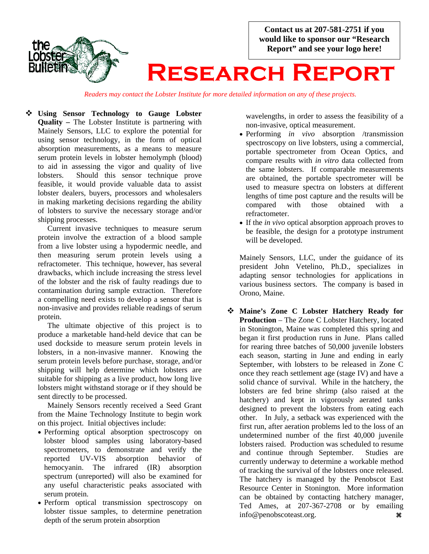**Contact us at 207-581-2751 if you would like to sponsor our "Research Report" and see your logo here!** 



# **Research Report**

*Readers may contact the Lobster Institute for more detailed information on any of these projects.*

 **Using Sensor Technology to Gauge Lobster Quality –** The Lobster Institute is partnering with Mainely Sensors, LLC to explore the potential for using sensor technology, in the form of optical absorption measurements, as a means to measure serum protein levels in lobster hemolymph (blood) to aid in assessing the vigor and quality of live lobsters. Should this sensor technique prove feasible, it would provide valuable data to assist lobster dealers, buyers, processors and wholesalers in making marketing decisions regarding the ability of lobsters to survive the necessary storage and/or shipping processes.

Current invasive techniques to measure serum protein involve the extraction of a blood sample from a live lobster using a hypodermic needle, and then measuring serum protein levels using a refractometer. This technique, however, has several drawbacks, which include increasing the stress level of the lobster and the risk of faulty readings due to contamination during sample extraction. Therefore a compelling need exists to develop a sensor that is non-invasive and provides reliable readings of serum protein.

 The ultimate objective of this project is to produce a marketable hand-held device that can be used dockside to measure serum protein levels in lobsters, in a non-invasive manner. Knowing the serum protein levels before purchase, storage, and/or shipping will help determine which lobsters are suitable for shipping as a live product, how long live lobsters might withstand storage or if they should be sent directly to be processed.

 Mainely Sensors recently received a Seed Grant from the Maine Technology Institute to begin work on this project. Initial objectives include:

- Performing optical absorption spectroscopy on lobster blood samples using laboratory-based spectrometers, to demonstrate and verify the reported UV-VIS absorption behavior of hemocyanin. The infrared (IR) absorption spectrum (unreported) will also be examined for any useful characteristic peaks associated with serum protein.
- Perform optical transmission spectroscopy on lobster tissue samples, to determine penetration depth of the serum protein absorption

wavelengths, in order to assess the feasibility of a non-invasive, optical measurement.

- Performing *in vivo* absorption /transmission spectroscopy on live lobsters, using a commercial, portable spectrometer from Ocean Optics, and compare results with *in vitro* data collected from the same lobsters. If comparable measurements are obtained, the portable spectrometer will be used to measure spectra on lobsters at different lengths of time post capture and the results will be compared with those obtained with a compared with those obtained with a refractometer.
- If the *in vivo* optical absorption approach proves to be feasible, the design for a prototype instrument will be developed.

Mainely Sensors, LLC, under the guidance of its president John Vetelino, Ph.D., specializes in adapting sensor technologies for applications in various business sectors. The company is based in Orono, Maine.

 **Maine's Zone C Lobster Hatchery Ready for Production** – The Zone C Lobster Hatchery, located in Stonington, Maine was completed this spring and began it first production runs in June. Plans called for rearing three batches of 50,000 juvenile lobsters each season, starting in June and ending in early September, with lobsters to be released in Zone C once they reach settlement age (stage IV) and have a solid chance of survival. While in the hatchery, the lobsters are fed brine shrimp (also raised at the hatchery) and kept in vigorously aerated tanks designed to prevent the lobsters from eating each other. In July, a setback was experienced with the first run, after aeration problems led to the loss of an undetermined number of the first 40,000 juvenile lobsters raised. Production was scheduled to resume and continue through September. Studies are currently underway to determine a workable method of tracking the survival of the lobsters once released. The hatchery is managed by the Penobscot East Resource Center in Stonington. More information can be obtained by contacting hatchery manager, Ted Ames, at 207-367-2708 or by emailing info@penobscoteast.org. **as**